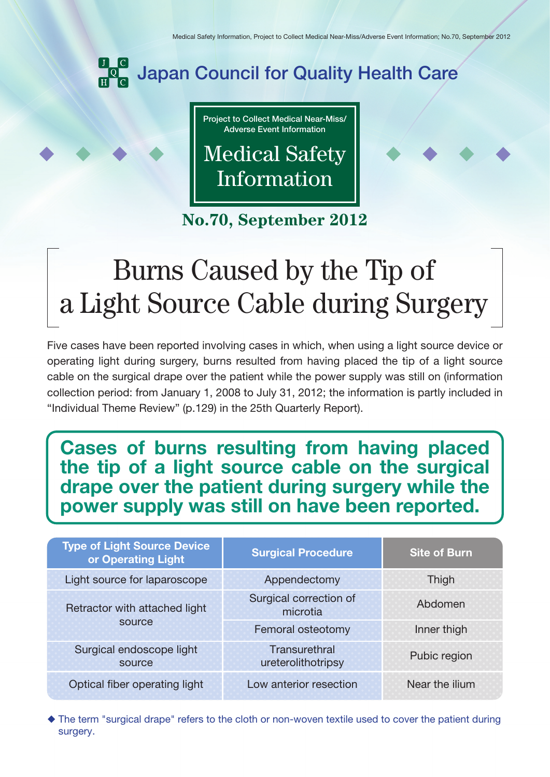

**Project to Collect Medical Near-Miss/ Adverse Event Information**

Medical Safety Information

**No.70, September 2012**

# Burns Caused by the Tip of a Light Source Cable during Surgery

Five cases have been reported involving cases in which, when using a light source device or operating light during surgery, burns resulted from having placed the tip of a light source cable on the surgical drape over the patient while the power supply was still on (information collection period: from January 1, 2008 to July 31, 2012; the information is partly included in "Individual Theme Review" (p.129) in the 25th Quarterly Report).

## **Cases of burns resulting from having placed the tip of a light source cable on the surgical drape over the patient during surgery while the power supply was still on have been reported.**

| <b>Type of Light Source Device</b><br>or Operating Light | <b>Surgical Procedure</b>           | <b>Site of Burn</b> |
|----------------------------------------------------------|-------------------------------------|---------------------|
| Light source for laparoscope                             | Appendectomy                        | Thigh               |
| Retractor with attached light<br>source                  | Surgical correction of<br>microtia  | Abdomen             |
|                                                          | Femoral osteotomy                   | Inner thigh         |
| Surgical endoscope light<br>source                       | Transurethral<br>ureterolithotripsy | Pubic region        |
| Optical fiber operating light                            | Low anterior resection              | Near the ilium      |

 The term "surgical drape" refers to the cloth or non-woven textile used to cover the patient during surgery.